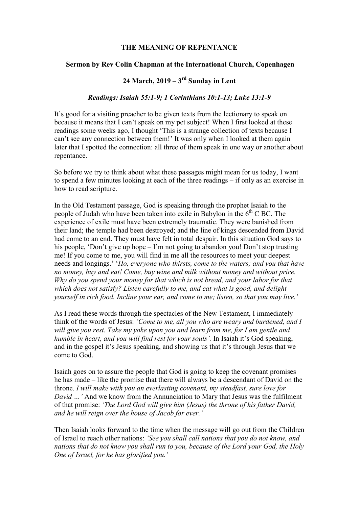## THE MEANING OF REPENTANCE

## Sermon by Rev Colin Chapman at the International Church, Copenhagen

## 24 March,  $2019 - 3<sup>rd</sup>$  Sunday in Lent

## Readings: Isaiah 55:1-9; 1 Corinthians 10:1-13; Luke 13:1-9

It's good for a visiting preacher to be given texts from the lectionary to speak on because it means that I can't speak on my pet subject! When I first looked at these readings some weeks ago, I thought 'This is a strange collection of texts because I can't see any connection between them!' It was only when I looked at them again later that I spotted the connection: all three of them speak in one way or another about repentance.

So before we try to think about what these passages might mean for us today, I want to spend a few minutes looking at each of the three readings – if only as an exercise in how to read scripture.

In the Old Testament passage, God is speaking through the prophet Isaiah to the people of Judah who have been taken into exile in Babylon in the  $6<sup>th</sup>$  C BC. The experience of exile must have been extremely traumatic. They were banished from their land; the temple had been destroyed; and the line of kings descended from David had come to an end. They must have felt in total despair. In this situation God says to his people, 'Don't give up hope – I'm not going to abandon you! Don't stop trusting me! If you come to me, you will find in me all the resources to meet your deepest needs and longings.' 'Ho, everyone who thirsts, come to the waters; and you that have no money, buy and eat! Come, buy wine and milk without money and without price. Why do you spend your money for that which is not bread, and your labor for that which does not satisfy? Listen carefully to me, and eat what is good, and delight yourself in rich food. Incline your ear, and come to me; listen, so that you may live.'

As I read these words through the spectacles of the New Testament, I immediately think of the words of Jesus: 'Come to me, all you who are weary and burdened, and I will give you rest. Take my yoke upon you and learn from me, for I am gentle and humble in heart, and you will find rest for your souls'. In Isaiah it's God speaking, and in the gospel it's Jesus speaking, and showing us that it's through Jesus that we come to God.

Isaiah goes on to assure the people that God is going to keep the covenant promises he has made – like the promise that there will always be a descendant of David on the throne. I will make with you an everlasting covenant, my steadfast, sure love for David ...' And we know from the Annunciation to Mary that Jesus was the fulfilment of that promise: 'The Lord God will give him (Jesus) the throne of his father David, and he will reign over the house of Jacob for ever.'

Then Isaiah looks forward to the time when the message will go out from the Children of Israel to reach other nations: 'See you shall call nations that you do not know, and nations that do not know you shall run to you, because of the Lord your God, the Holy One of Israel, for he has glorified you.'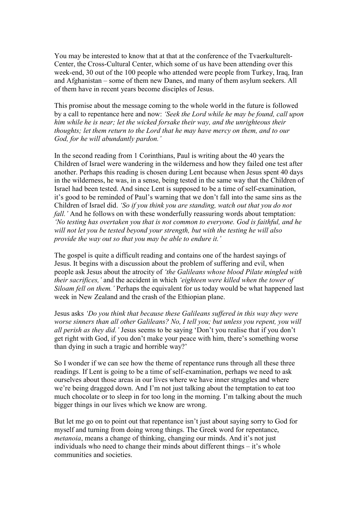You may be interested to know that at that at the conference of the Tvaerkulturelt-Center, the Cross-Cultural Center, which some of us have been attending over this week-end, 30 out of the 100 people who attended were people from Turkey, Iraq, Iran and Afghanistan – some of them new Danes, and many of them asylum seekers. All of them have in recent years become disciples of Jesus.

This promise about the message coming to the whole world in the future is followed by a call to repentance here and now: 'Seek the Lord while he may be found, call upon him while he is near; let the wicked forsake their way, and the unrighteous their thoughts; let them return to the Lord that he may have mercy on them, and to our God, for he will abundantly pardon.'

In the second reading from 1 Corinthians, Paul is writing about the 40 years the Children of Israel were wandering in the wilderness and how they failed one test after another. Perhaps this reading is chosen during Lent because when Jesus spent 40 days in the wilderness, he was, in a sense, being tested in the same way that the Children of Israel had been tested. And since Lent is supposed to be a time of self-examination, it's good to be reminded of Paul's warning that we don't fall into the same sins as the Children of Israel did. 'So if you think you are standing, watch out that you do not fall.' And he follows on with these wonderfully reassuring words about temptation: 'No testing has overtaken you that is not common to everyone. God is faithful, and he will not let you be tested beyond your strength, but with the testing he will also provide the way out so that you may be able to endure it.'

The gospel is quite a difficult reading and contains one of the hardest sayings of Jesus. It begins with a discussion about the problem of suffering and evil, when people ask Jesus about the atrocity of 'the Galileans whose blood Pilate mingled with their sacrifices,' and the accident in which 'eighteen were killed when the tower of Siloam fell on them.' Perhaps the equivalent for us today would be what happened last week in New Zealand and the crash of the Ethiopian plane.

Jesus asks 'Do you think that because these Galileans suffered in this way they were worse sinners than all other Galileans? No, I tell you; but unless you repent, you will all perish as they did.' Jesus seems to be saying 'Don't you realise that if you don't get right with God, if you don't make your peace with him, there's something worse than dying in such a tragic and horrible way?'

So I wonder if we can see how the theme of repentance runs through all these three readings. If Lent is going to be a time of self-examination, perhaps we need to ask ourselves about those areas in our lives where we have inner struggles and where we're being dragged down. And I'm not just talking about the temptation to eat too much chocolate or to sleep in for too long in the morning. I'm talking about the much bigger things in our lives which we know are wrong.

But let me go on to point out that repentance isn't just about saying sorry to God for myself and turning from doing wrong things. The Greek word for repentance, metanoia, means a change of thinking, changing our minds. And it's not just individuals who need to change their minds about different things – it's whole communities and societies.